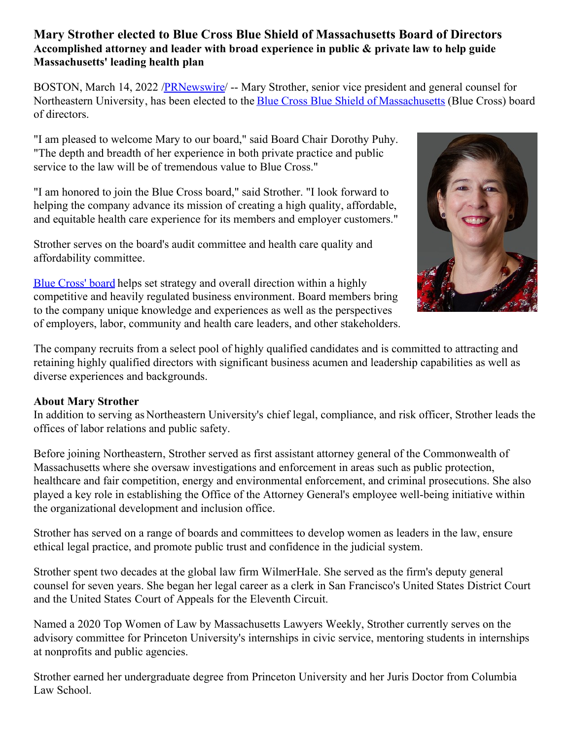## **Mary Strother elected to Blue Cross Blue Shield of Massachusetts Board of Directors Accomplished attorney and leader with broad experience in public & private law to help guide Massachusetts' leading health plan**

BOSTON, March 14, 2022 /**PRNewswire/** -- Mary Strother, senior vice president and general counsel for Northeastern University, has been elected to the Blue Cross Blue Shield of [Massachusetts](https://c212.net/c/link/?t=0&l=en&o=3470570-1&h=1295361619&u=https%3A%2F%2Fwww.bluecrossma.org%2F&a=Blue+Cross+Blue+Shield+of+Massachusetts) (Blue Cross) board of directors.

"I am pleased to welcome Mary to our board," said Board Chair Dorothy Puhy. "The depth and breadth of her experience in both private practice and public service to the law will be of tremendous value to Blue Cross."

"I am honored to join the Blue Cross board," said Strother. "I look forward to helping the company advance its mission of creating a high quality, affordable, and equitable health care experience for its members and employer customers."

Strother serves on the board's audit committee and health care quality and affordability committee.

Blue [Cross'](https://c212.net/c/link/?t=0&l=en&o=3470570-1&h=3707548029&u=https%3A%2F%2Fc212.net%2Fc%2Flink%2F%3Ft%3D0%26l%3Den%26o%3D3104520-1%26h%3D1064726439%26u%3Dhttps%253A%252F%252Fc212.net%252Fc%252Flink%252F%253Ft%253D0%2526l%253Den%2526o%253D2840663-1%2526h%253D938495533%2526u%253Dhttps%25253A%25252F%25252Fc212.net%25252Fc%25252Flink%25252F%25253Ft%25253D0%252526l%25253Den%252526o%25253D2522755-1%252526h%25253D1042450362%252526u%25253Dhttp%2525253A%2525252F%2525252Fnewsroom.bluecrossma.com%2525252Fboard%252526a%25253DThe%25252Bcompany%25252527s%25252Bboard%2526a%253DThe%252Bcompany%252527s%252Bboard%26a%3DBlue%2BCross%2527%2Bboard&a=Blue+Cross%27+board) board helps set strategy and overall direction within a highly competitive and heavily regulated business environment. Board members bring to the company unique knowledge and experiences as well as the perspectives of employers, labor, community and health care leaders, and other stakeholders.



The company recruits from a select pool of highly qualified candidates and is committed to attracting and retaining highly qualified directors with significant business acumen and leadership capabilities as well as diverse experiences and backgrounds.

## **About Mary Strother**

In addition to serving as Northeastern University's chief legal, compliance, and risk officer, Strother leads the offices of labor relations and public safety.

Before joining Northeastern, Strother served as first assistant attorney general of the Commonwealth of Massachusetts where she oversaw investigations and enforcement in areas such as public protection, healthcare and fair competition, energy and environmental enforcement, and criminal prosecutions. She also played a key role in establishing the Office of the Attorney General's employee well-being initiative within the organizational development and inclusion office.

Strother has served on a range of boards and committees to develop women as leaders in the law, ensure ethical legal practice, and promote public trust and confidence in the judicial system.

Strother spent two decades at the global law firm WilmerHale. She served as the firm's deputy general counsel for seven years. She began her legal career as a clerk in San Francisco's United States District Court and the United States Court of Appeals for the Eleventh Circuit.

Named a 2020 Top Women of Law by Massachusetts Lawyers Weekly, Strother currently serves on the advisory committee for Princeton University's internships in civic service, mentoring students in internships at nonprofits and public agencies.

Strother earned her undergraduate degree from Princeton University and her Juris Doctor from Columbia Law School.